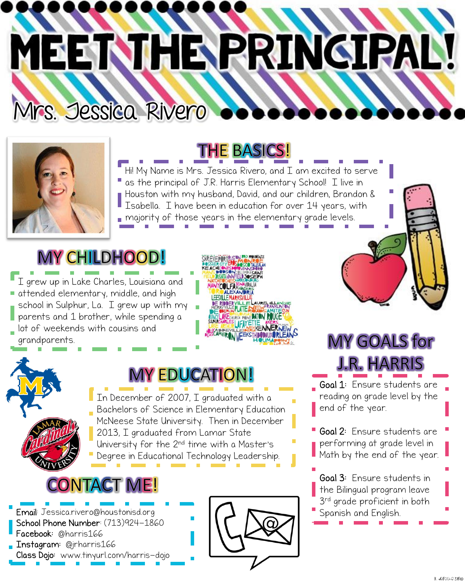## MEET THE PRINCIPAL!



**THE BASICS!** 

Hi! My Name is Mrs. Jessica Rivero, and  $\overline{L}$  am excited to serve as the principal of J.R. Harris Elementary School! I live in Houston with my husband, David, and our children, Brandon & Isabella. I have been in education for over 14 years, with majority of those years in the elementary grade levels.

## MY CHILDHOOD!

Mrs. Jessica Rivero

I grew up in Lake Charles, Louisiana and attended elementary, middle, and high school in Sulphur, La. I grew up with my parents and 1 brother, while spending a lot of weekends with cousins and grandparents.



### **MY EDUCATION!**

In December of 2007, I graduated with a Bachelors of Science in Elementary Education McNeese State University. Then in December 2013, I graduated from Lamar State University for the 2nd time with a Master's Degree in Educational Technology Leadership.



Email: Jessica.rivero@houstonisd.org School Phone Number: (713)924-1860 Facebook: @harris166 Instagram: @jrharris166 Class Dojo: www.tinyurl.com/harris-dojo





## **MY GOALS for J.R. HARRIS** Goal 1: Ensure students are

reading on grade level by the end of the year.

Goal 2: Ensure students are performing at grade level in Math by the end of the year.

Goal 3: Ensure students in the Bilingual program leave 3 rd grade proficient in both Spanish and English.